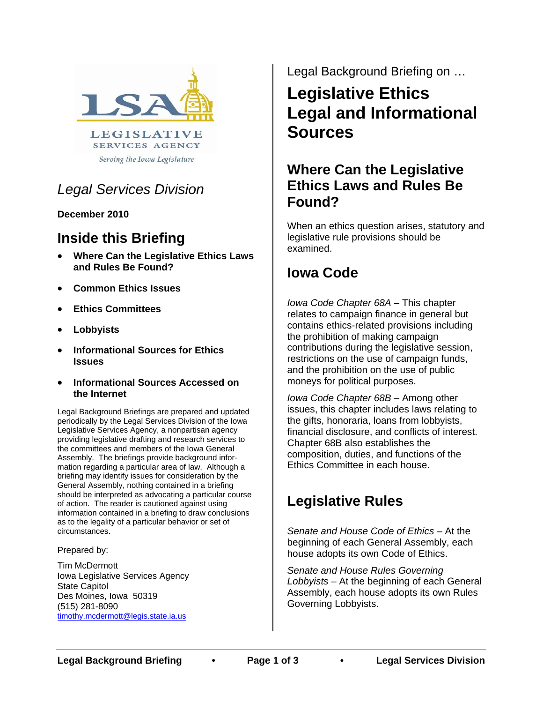

Serving the Iowa Legislature

### *Legal Services Division*

**December 2010**

## **Inside this Briefing**

- **Where Can the Legislative Ethics Laws and Rules Be Found?**
- **Common Ethics Issues**
- **Ethics Committees**
- **Lobbyists**
- **Informational Sources for Ethics Issues**
- **Informational Sources Accessed on the Internet**

Legal Background Briefings are prepared and updated periodically by the Legal Services Division of the Iowa Legislative Services Agency, a nonpartisan agency providing legislative drafting and research services to the committees and members of the Iowa General Assembly. The briefings provide background information regarding a particular area of law. Although a briefing may identify issues for consideration by the General Assembly, nothing contained in a briefing should be interpreted as advocating a particular course of action. The reader is cautioned against using information contained in a briefing to draw conclusions as to the legality of a particular behavior or set of circumstances.

#### Prepared by:

Tim McDermott Iowa Legislative Services Agency State Capitol Des Moines, Iowa 50319 (515) 281-8090 timothy.mcdermott@legis.state.ia.us

Legal Background Briefing on …

# **Legislative Ethics Legal and Informational Sources**

#### **Where Can the Legislative Ethics Laws and Rules Be Found?**

When an ethics question arises, statutory and legislative rule provisions should be examined.

### **Iowa Code**

*Iowa Code Chapter 68A* – This chapter relates to campaign finance in general but contains ethics-related provisions including the prohibition of making campaign contributions during the legislative session, restrictions on the use of campaign funds, and the prohibition on the use of public moneys for political purposes.

*Iowa Code Chapter 68B* – Among other issues, this chapter includes laws relating to the gifts, honoraria, loans from lobbyists, financial disclosure, and conflicts of interest. Chapter 68B also establishes the composition, duties, and functions of the Ethics Committee in each house.

## **Legislative Rules**

*Senate and House Code of Ethics* – At the beginning of each General Assembly, each house adopts its own Code of Ethics.

*Senate and House Rules Governing Lobbyists* – At the beginning of each General Assembly, each house adopts its own Rules Governing Lobbyists.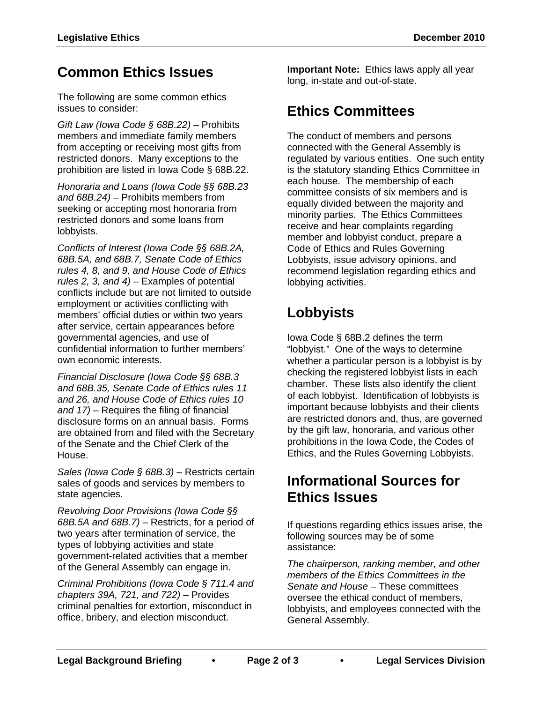## **Common Ethics Issues**

The following are some common ethics issues to consider:

*Gift Law (Iowa Code § 68B.22)* – Prohibits members and immediate family members from accepting or receiving most gifts from restricted donors. Many exceptions to the prohibition are listed in Iowa Code § 68B.22.

*Honoraria and Loans (Iowa Code §§ 68B.23 and 68B.24)* – Prohibits members from seeking or accepting most honoraria from restricted donors and some loans from lobbyists.

*Conflicts of Interest (Iowa Code §§ 68B.2A, 68B.5A, and 68B.7, Senate Code of Ethics rules 4, 8, and 9, and House Code of Ethics rules 2, 3, and 4)* – Examples of potential conflicts include but are not limited to outside employment or activities conflicting with members' official duties or within two years after service, certain appearances before governmental agencies, and use of confidential information to further members' own economic interests.

*Financial Disclosure (Iowa Code §§ 68B.3 and 68B.35, Senate Code of Ethics rules 11 and 26, and House Code of Ethics rules 10 and 17)* – Requires the filing of financial disclosure forms on an annual basis. Forms are obtained from and filed with the Secretary of the Senate and the Chief Clerk of the House.

*Sales (Iowa Code § 68B.3)* – Restricts certain sales of goods and services by members to state agencies.

*Revolving Door Provisions (Iowa Code §§ 68B.5A and 68B.7)* – Restricts, for a period of two years after termination of service, the types of lobbying activities and state government-related activities that a member of the General Assembly can engage in.

*Criminal Prohibitions (Iowa Code § 711.4 and chapters 39A, 721, and 722)* – Provides criminal penalties for extortion, misconduct in office, bribery, and election misconduct.

**Important Note:** Ethics laws apply all year long, in-state and out-of-state.

## **Ethics Committees**

The conduct of members and persons connected with the General Assembly is regulated by various entities. One such entity is the statutory standing Ethics Committee in each house. The membership of each committee consists of six members and is equally divided between the majority and minority parties. The Ethics Committees receive and hear complaints regarding member and lobbyist conduct, prepare a Code of Ethics and Rules Governing Lobbyists, issue advisory opinions, and recommend legislation regarding ethics and lobbying activities.

# **Lobbyists**

Iowa Code § 68B.2 defines the term "lobbyist." One of the ways to determine whether a particular person is a lobbyist is by checking the registered lobbyist lists in each chamber. These lists also identify the client of each lobbyist. Identification of lobbyists is important because lobbyists and their clients are restricted donors and, thus, are governed by the gift law, honoraria, and various other prohibitions in the Iowa Code, the Codes of Ethics, and the Rules Governing Lobbyists.

### **Informational Sources for Ethics Issues**

If questions regarding ethics issues arise, the following sources may be of some assistance:

*The chairperson, ranking member, and other members of the Ethics Committees in the Senate and House* – These committees oversee the ethical conduct of members, lobbyists, and employees connected with the General Assembly.